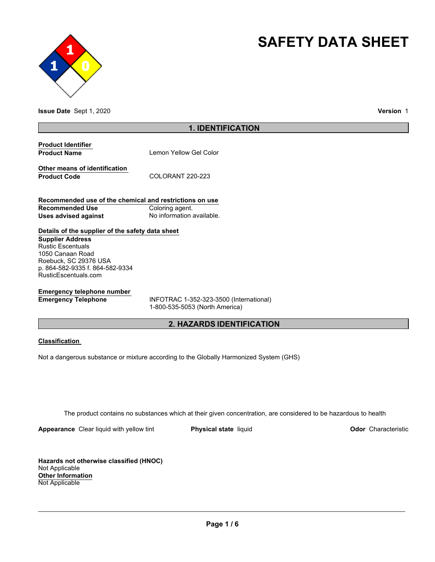



**Issue Date** Sept 1, 2020 **Version** 1

## **1. IDENTIFICATION**

**Product Identifier Product Name** Lemon Yellow Gel Color

**Other means of identification** Product Code COLORANT 220-223

**Recommended use of the chemical and restrictions on use Recommended Use Coloring agent. Uses advised against No information available.** 

# **Details of the supplier of the safety data sheet**

**Supplier Address** Rustic Escentuals 1050 Canaan Road Roebuck, SC 29376 USA p. 864-582-9335 f. 864-582-9334 RusticEscentuals.com

# **Emergency telephone number**

**Emergency Telephone** INFOTRAC 1-352-323-3500 (International) 1-800-535-5053 (North America)

# **2. HAZARDS IDENTIFICATION**

## **Classification**

Not a dangerous substance or mixture according to the Globally Harmonized System (GHS)

The product contains no substances which at their given concentration, are considered to be hazardous to health

**Appearance** Clear liquid with yellow tint **Physical state** liquid **Physical State Conduct 10 Odor** Characteristic

**Hazards not otherwise classified (HNOC)** Not Applicable **Other Information** Not Applicable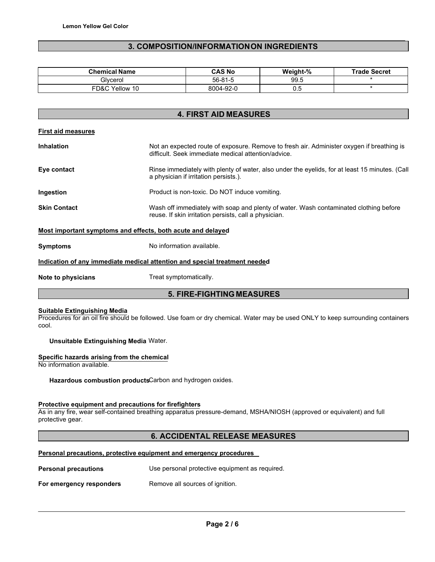## **3. COMPOSITION/INFORMATION ON INGREDIENTS**

| <b>Chemical Name</b> | <b>CAS No</b> | Weight-% | <b>Trade Secret</b> |
|----------------------|---------------|----------|---------------------|
| Glvcerol             | 56-81-5       | 99.5     |                     |
| FD&C<br>Yellow 10    | 8004-92-0     | 0.5      |                     |

# **4. FIRST AID MEASURES**

|--|

| <b>Inhalation</b>   | Not an expected route of exposure. Remove to fresh air. Administer oxygen if breathing is<br>difficult. Seek immediate medical attention/advice. |
|---------------------|--------------------------------------------------------------------------------------------------------------------------------------------------|
| Eye contact         | Rinse immediately with plenty of water, also under the eyelids, for at least 15 minutes. (Call<br>a physician if irritation persists.).          |
| Ingestion           | Product is non-toxic. Do NOT induce vomiting.                                                                                                    |
| <b>Skin Contact</b> | Wash off immediately with soap and plenty of water. Wash contaminated clothing before<br>reuse. If skin irritation persists, call a physician.   |
|                     | Most important symptoms and effects, both acute and delayed                                                                                      |

**Symptoms** No information available.

## **Indication of any immediate medical attention and special treatment needed**

**Note to physicians Treat symptomatically.** 

## **5. FIRE-FIGHTING MEASURES**

### **Suitable Extinguishing Media**

Procedures for an oil fire should be followed. Use foam or dry chemical. Water may be used ONLY to keep surrounding containers cool.

**Unsuitable Extinguishing Media** Water.

## **Specific hazards arising from the chemical**

No information available.

**Hazardous combustion products**Carbon and hydrogen oxides.

## **Protective equipment and precautions for firefighters**

As in any fire, wear self-contained breathing apparatus pressure-demand, MSHA/NIOSH (approved or equivalent) and full protective gear.

## **6. ACCIDENTAL RELEASE MEASURES**

## **Personal precautions, protective equipment and emergency procedures**

| <b>Personal precautions</b> | Use personal protective equipment as required. |
|-----------------------------|------------------------------------------------|
| For emergency responders    | Remove all sources of ignition.                |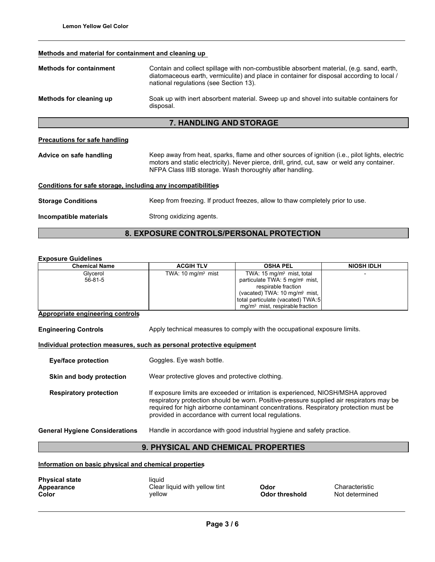## **Methods and material for containment and cleaning up**

| <b>Methods for containment</b>                                  | Contain and collect spillage with non-combustible absorbent material, (e.g. sand, earth,<br>diatomaceous earth, vermiculite) and place in container for disposal according to local /<br>national regulations (see Section 13).                           |  |  |
|-----------------------------------------------------------------|-----------------------------------------------------------------------------------------------------------------------------------------------------------------------------------------------------------------------------------------------------------|--|--|
| Methods for cleaning up                                         | Soak up with inert absorbent material. Sweep up and shovel into suitable containers for<br>disposal.                                                                                                                                                      |  |  |
| <b>7. HANDLING AND STORAGE</b>                                  |                                                                                                                                                                                                                                                           |  |  |
| <b>Precautions for safe handling</b><br>Advice on safe handling | Keep away from heat, sparks, flame and other sources of ignition (i.e., pilot lights, electric<br>motors and static electricity). Never pierce, drill, grind, cut, saw or weld any container.<br>NFPA Class IIIB storage. Wash thoroughly after handling. |  |  |
| Conditions for safe storage, including any incompatibilities    |                                                                                                                                                                                                                                                           |  |  |
| <b>Storage Conditions</b>                                       | Keep from freezing. If product freezes, allow to thaw completely prior to use.                                                                                                                                                                            |  |  |
| Incompatible materials                                          | Strong oxidizing agents.                                                                                                                                                                                                                                  |  |  |

# **8. EXPOSURE CONTROLS/PERSONAL PROTECTION**

## **Exposure Guidelines**

| <b>Chemical Name</b> | <b>ACGIH TLV</b>            | <b>OSHA PEL</b>                            | <b>NIOSH IDLH</b> |
|----------------------|-----------------------------|--------------------------------------------|-------------------|
| Glycerol             | TWA: $10 \text{ mg/m}$ mist | TWA: $15 \text{ mg/m}$ mist, total         |                   |
| $56-81-5$            |                             | particulate TWA: 5 mg/m <sup>3</sup> mist, |                   |
|                      |                             | respirable fraction                        |                   |
|                      |                             | (vacated) TWA: 10 mg/m <sup>3</sup> mist,  |                   |
|                      |                             | total particulate (vacated) TWA:5          |                   |
|                      |                             | $mq/m3$ mist, respirable fraction          |                   |

## **Appropriate engineering controls**

**Engineering Controls** Apply technical measures to comply with the occupational exposure limits.

## **Individual protection measures, such as personal protective equipment**

| <b>Eye/face protection</b>            | Goggles. Eye wash bottle.                                                                                                                                                                                                                                                                                                        |  |
|---------------------------------------|----------------------------------------------------------------------------------------------------------------------------------------------------------------------------------------------------------------------------------------------------------------------------------------------------------------------------------|--|
| Skin and body protection              | Wear protective gloves and protective clothing.                                                                                                                                                                                                                                                                                  |  |
| <b>Respiratory protection</b>         | If exposure limits are exceeded or irritation is experienced, NIOSH/MSHA approved<br>respiratory protection should be worn. Positive-pressure supplied air respirators may be<br>required for high airborne contaminant concentrations. Respiratory protection must be<br>provided in accordance with current local regulations. |  |
| <b>General Hygiene Considerations</b> | Handle in accordance with good industrial hygiene and safety practice.                                                                                                                                                                                                                                                           |  |

# **9. PHYSICAL AND CHEMICAL PROPERTIES**

**Information on basic physical and chemical properties**

| <b>Physical state</b><br>Appearance<br>Color | liauid<br>Clear liquid with yellow tint<br>vellow | Odor<br><b>Odor threshold</b> |
|----------------------------------------------|---------------------------------------------------|-------------------------------|
|                                              |                                                   |                               |

**Appearacteristic**<br>**Appearance Characteristic**<br>**A**ppearance Characteristic **Not determined**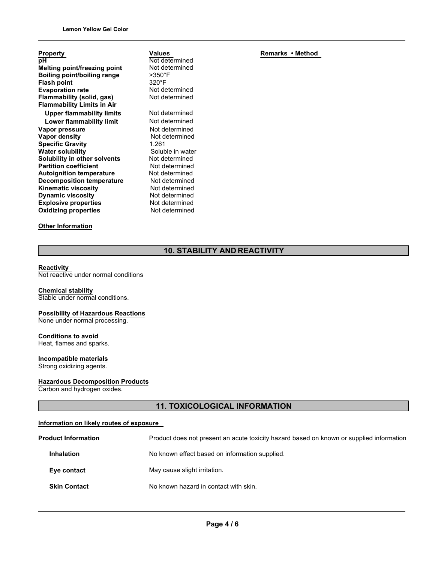| <b>Property</b>                     |
|-------------------------------------|
| рH                                  |
| <b>Melting point/freezing point</b> |
| Boiling point/boiling range         |
| <b>Flash point</b>                  |
| <b>Evaporation rate</b>             |
| Flammability (solid, gas)           |
| <b>Flammability Limits in Air</b>   |
| <b>Upper flammability limits</b>    |
| Lower flammability limit            |
| Vapor pressure                      |
| <b>Vapor density</b>                |
| <b>Specific Gravity</b>             |
| <b>Water solubility</b>             |
| Solubility in other solvents        |
| <b>Partition coefficient</b>        |
| <b>Autoignition temperature</b>     |
| <b>Decomposition temperature</b>    |
| Kinematic viscosity                 |
| <b>Dynamic viscosity</b>            |
| <b>Explosive properties</b>         |
| <b>Oxidizing properties</b>         |
|                                     |

## **Other Information**

Not determined Not determined >350°F 320°F Not determined Not determined **Not determined Not determined Not determined Not determined Specific Gravity** 1.261 Soluble in water Not determined **Not determined Not determined Not determined Not determined Not determined Not determined Not determined** 

**Values**

**Remarks • Method**

# **10. STABILITY AND REACTIVITY**

#### **Reactivity**

Not reactive under normal conditions

# **Chemical stability**

Stable under normal conditions.

## **Possibility of Hazardous Reactions** None under normal processing.

**Conditions to avoid** Heat, flames and sparks.

# **Incompatible materials**

Strong oxidizing agents.

## **Hazardous Decomposition Products**

Carbon and hydrogen oxides.

# **11. TOXICOLOGICAL INFORMATION**

## **Information on likely routes of exposure**

| <b>Product Information</b> | Product does not present an acute toxicity hazard based on known or supplied information |  |
|----------------------------|------------------------------------------------------------------------------------------|--|
| <b>Inhalation</b>          | No known effect based on information supplied.                                           |  |
| Eye contact                | May cause slight irritation.                                                             |  |
| <b>Skin Contact</b>        | No known hazard in contact with skin.                                                    |  |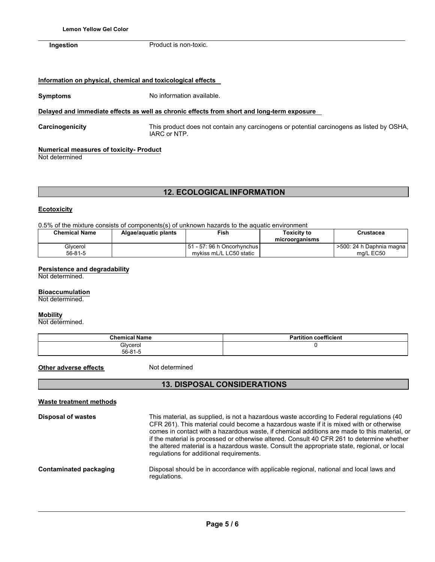**Ingestion** Product is non-toxic.

## **Information on physical, chemical and toxicological effects**

**Symptoms** No information available.

## **Delayed and immediate effects as well as chronic effects from short and long-term exposure**

**Carcinogenicity** This product does not contain any carcinogens or potential carcinogens as listed by OSHA, IARC or NTP.

## **Numerical measures of toxicity- Product**

Not determined

# **12. ECOLOGICAL INFORMATION**

## **Ecotoxicity**

0.5% of the mixture consists of components(s) of unknown hazards to the aquatic environment

| <b>Chemical Name</b> | Algae/aquatic plants | Fish                                                      | Toxicitv to<br>microorganisms | Crustacea                               |
|----------------------|----------------------|-----------------------------------------------------------|-------------------------------|-----------------------------------------|
| Glycerol<br>56-81-5  |                      | l 51 - 57: 96 h Oncorhvnchus l<br>mykiss mL/L LC50 static |                               | >500: 24 h Daphnia magna I<br>ma/L EC50 |

## **Persistence and degradability**

Not determined.

## **Bioaccumulation**

Not determined.

## **Mobility**

Not determined.

| <b>Chemical Name</b>      | <b>Partition coefficient</b> |
|---------------------------|------------------------------|
| Glycerol<br>$56 - 81 - 5$ |                              |

**Other adverse effects** Not determined

# **13. DISPOSAL CONSIDERATIONS**

| <b>Waste treatment methods</b> |                                                                                                                                                                                                                                                                                                                                                                                                                                                                                                                                |
|--------------------------------|--------------------------------------------------------------------------------------------------------------------------------------------------------------------------------------------------------------------------------------------------------------------------------------------------------------------------------------------------------------------------------------------------------------------------------------------------------------------------------------------------------------------------------|
| <b>Disposal of wastes</b>      | This material, as supplied, is not a hazardous waste according to Federal regulations (40<br>CFR 261). This material could become a hazardous waste if it is mixed with or otherwise<br>comes in contact with a hazardous waste, if chemical additions are made to this material, or<br>if the material is processed or otherwise altered. Consult 40 CFR 261 to determine whether<br>the altered material is a hazardous waste. Consult the appropriate state, regional, or local<br>regulations for additional requirements. |
| Contaminated packaging         | Disposal should be in accordance with applicable regional, national and local laws and<br>regulations.                                                                                                                                                                                                                                                                                                                                                                                                                         |